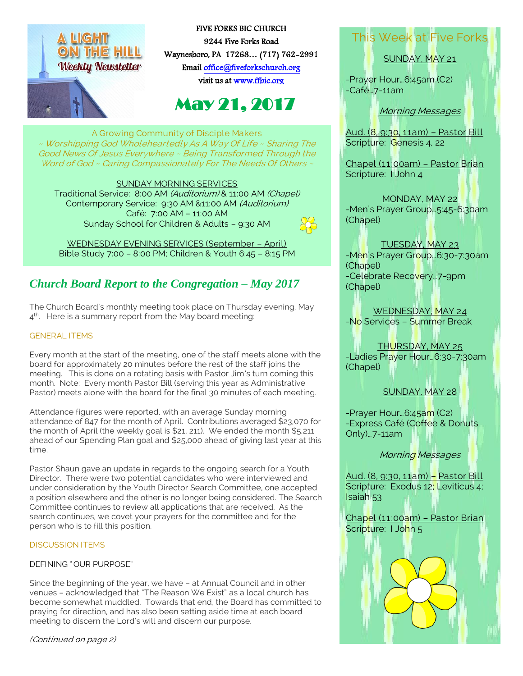

FIVE FORKS BIC CHURCH 9244 Five Forks Road Waynesboro, PA 17268… (717) 762-2991 Emai[l office@fiveforkschurch.org](mailto:office@fiveforkschurch.org)  visit us a[t www.ffbic.org](http://www.ffbic.org/) 

# May 21, 2017

A Growing Community of Disciple Makers ~ Worshipping God Wholeheartedly As A Way Of Life ~ Sharing The Good News Of Jesus Everywhere ~ Being Transformed Through the Word of God ~ Caring Compassionately For The Needs Of Others ~

SUNDAY MORNING SERVICES Traditional Service: 8:00 AM (Auditorium) & 11:00 AM (Chapel) Contemporary Service: 9:30 AM &11:00 AM (Auditorium) Café: 7:00 AM – 11:00 AM Sunday School for Children & Adults – 9:30 AM

WEDNESDAY EVENING SERVICES (September – April) Bible Study 7:00 – 8:00 PM; Children & Youth 6:45 – 8:15 PM

## *Church Board Report to the Congregation – May 2017*

The Church Board's monthly meeting took place on Thursday evening, May 4<sup>th</sup>. Here is a summary report from the May board meeting:

#### GENERAL ITEMS

Every month at the start of the meeting, one of the staff meets alone with the board for approximately 20 minutes before the rest of the staff joins the meeting. This is done on a rotating basis with Pastor Jim's turn coming this month. Note: Every month Pastor Bill (serving this year as Administrative Pastor) meets alone with the board for the final 30 minutes of each meeting.

Attendance figures were reported, with an average Sunday morning attendance of 847 for the month of April. Contributions averaged \$23,070 for the month of April (the weekly goal is \$21, 211). We ended the month \$5,211 ahead of our Spending Plan goal and \$25,000 ahead of giving last year at this time.

Pastor Shaun gave an update in regards to the ongoing search for a Youth Director. There were two potential candidates who were interviewed and under consideration by the Youth Director Search Committee, one accepted a position elsewhere and the other is no longer being considered. The Search Committee continues to review all applications that are received. As the search continues, we covet your prayers for the committee and for the person who is to fill this position.

#### DISCUSSION ITEMS

#### DEFINING " OUR PURPOSE"

become somewhat muddled. Towards that end, the Board has committed to Since the beginning of the year, we have – at Annual Council and in other venues – acknowledged that "The Reason We Exist" as a local church has praying for direction, and has also been setting aside time at each board meeting to discern the Lord's will and discern our purpose.

(Continued on page 2)

## This Week at Five Forks

SUNDAY, MAY 21

-Prayer Hour…6:45am (C2) -Café…7-11am

Morning Messages

Aud. (8, 9:30, 11am) – Pastor Bill Scripture: Genesis 4, 22

Chapel (11:00am) – Pastor Brian Scripture: I John 4

MONDAY, MAY 22 -Men's Prayer Group…5:45-6:30am (Chapel)

TUESDAY, MAY 23 -Men's Prayer Group…6:30-7:30am (Chapel) -Celebrate Recovery…7-9pm (Chapel)

WEDNESDAY, MAY 24 -No Services – Summer Break

THURSDAY, MAY 25 -Ladies Prayer Hour…6:30-7:30am (Chapel)

SUNDAY, MAY 28

-Prayer Hour...6:45am (C2) -Express Café (Coffee & Donuts Only)…7-11am

Morning Messages

Aud. (8, 9:30, 11am) – Pastor Bill Scripture: Exodus 12; Leviticus 4; Isaiah 53

Chapel (11:00am) – Pastor Brian Scripture: I John 5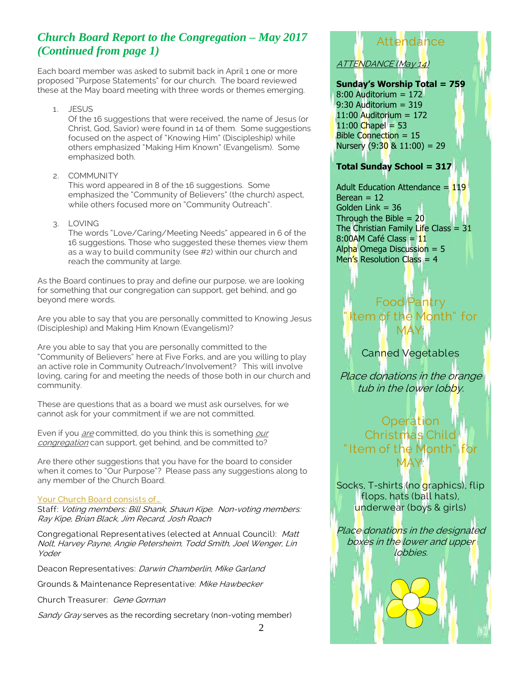### *Church Board Report to the Congregation – May 2017 (Continued from page 1)*

Each board member was asked to submit back in April 1 one or more proposed "Purpose Statements" for our church. The board reviewed these at the May board meeting with three words or themes emerging.

1. JESUS

Of the 16 suggestions that were received, the name of Jesus (or Christ, God, Savior) were found in 14 of them. Some suggestions focused on the aspect of "Knowing Him" (Discipleship) while others emphasized "Making Him Known" (Evangelism). Some emphasized both.

2. COMMUNITY

This word appeared in 8 of the 16 suggestions. Some emphasized the "Community of Believers" (the church) aspect, while others focused more on "Community Outreach".

3. LOVING

The words "Love/Caring/Meeting Needs" appeared in 6 of the 16 suggestions. Those who suggested these themes view them as a way to build community (see #2) within our church and reach the community at large.

As the Board continues to pray and define our purpose, we are looking for something that our congregation can support, get behind, and go beyond mere words.

Are you able to say that you are personally committed to Knowing Jesus (Discipleship) and Making Him Known (Evangelism)?

Are you able to say that you are personally committed to the "Community of Believers" here at Five Forks, and are you willing to play an active role in Community Outreach/Involvement? This will involve loving, caring for and meeting the needs of those both in our church and community.

These are questions that as a board we must ask ourselves, for we cannot ask for your commitment if we are not committed.

Even if you *are* committed, do you think this is something *our* congregation can support, get behind, and be committed to?

Are there other suggestions that you have for the board to consider when it comes to "Our Purpose"? Please pass any suggestions along to any member of the Church Board.

#### Your Church Board consists of...

Staff: Voting members: Bill Shank, Shaun Kipe. Non-voting members: Ray Kipe, Brian Black, Jim Recard, Josh Roach

Congregational Representatives (elected at Annual Council): Matt Nolt, Harvey Payne, Angie Petersheim, Todd Smith, Joel Wenger, Lin Yoder

Deacon Representatives: Darwin Chamberlin, Mike Garland

Grounds & Maintenance Representative: Mike Hawbecker

Church Treasurer: Gene Gorman

Sandy Gray serves as the recording secretary (non-voting member)

## Attendance ATTENDANCE (May 14)

#### **Sunday's Worship Total = 759**

8:00 Auditorium = 172 9:30 Auditorium = 319  $11:00$  Auditorium = 172  $11:00$  Chapel = 53 Bible Connection = 15 Nursery  $(9:30 \& 11:00) = 29$ 

#### **Total Sunday School = 317**

Adult Education Attendance  $=$  $Berean = 12$ Golden Link = 36 Through the Bible  $= 20$ The Christian Family Life Class =  $8:00$ AM Café Class = Alpha Omega Discussion = Men's Resolution Class =

### Food Pantry Item of the Month" for MAY:

#### Canned Vegetables

Place donations in the orange tub in the lower lobby.

**Operation** Christmas Child " Item of the Month" for MAY:

Socks, T-shirts (no graphics), flip flops, hats (ball hats), underwear (boys & girls)

Place donations in the designated boxes in the lower and upper **lobbies**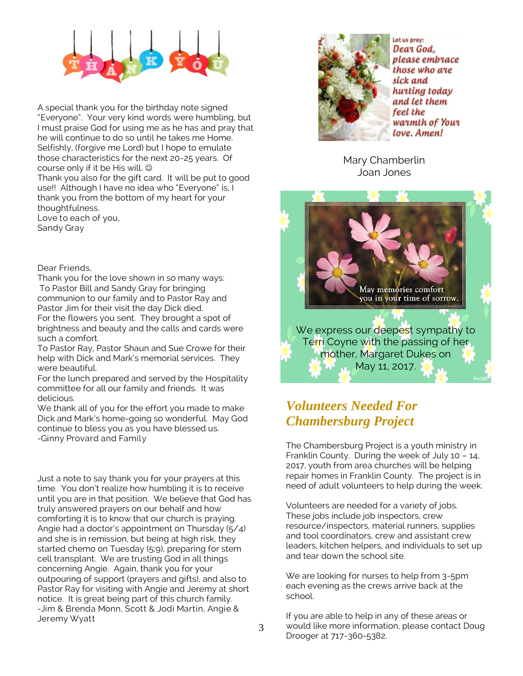

A special thank you for the birthday note signed "Everyone". Your very kind words were humbling, but I must praise God for using me as he has and pray that he will continue to do so until he takes me Home. Selfishly, (forgive me Lord) but I hope to emulate those characteristics for the next 20-25 years. Of course only if it be His will.

Thank you also for the gift card. It will be put to good use!! Although I have no idea who "Everyone" is, I thank you from the bottom of my heart for your thoughtfulness. Love to each of you,

Sandy Gray

Dear Friends,

Thank you for the love shown in so many ways: To Pastor Bill and Sandy Gray for bringing communion to our family and to Pastor Ray and Pastor Jim for their visit the day Dick died. For the flowers you sent. They brought a spot of brightness and beauty and the calls and cards were such a comfort.

To Pastor Ray, Pastor Shaun and Sue Crowe for their help with Dick and Mark's memorial services. They were beautiful.

For the lunch prepared and served by the Hospitality committee for all our family and friends. It was delicious.

We thank all of you for the effort you made to make Dick and Mark's home-going so wonderful. May God continue to bless you as you have blessed us. -Ginny Provard and Family

Just a note to say thank you for your prayers at this time. You don't realize how humbling it is to receive until you are in that position. We believe that God has truly answered prayers on our behalf and how comforting it is to know that our church is praying. Angie had a doctor's appointment on Thursday (5/4) and she is in remission, but being at high risk, they started chemo on Tuesday (5;9), preparing for stem cell transplant. We are trusting God in all things concerning Angie. Again, thank you for your outpouring of support (prayers and gifts), and also to Pastor Ray for visiting with Angie and Jeremy at short notice. It is great being part of this church family. -Jim & Brenda Monn, Scott & Jodi Martin, Angie & Jeremy Wyatt



Let us pray: Dear God. please embrace those who are sick and hurting today and let them feel the warmth of Your love. Amen!

Mary Chamberlin Joan Jones



## *Volunteers Needed For Chambersburg Project*

The Chambersburg Project is a youth ministry in Franklin County. During the week of July 10 – 14, 2017, youth from area churches will be helping repair homes in Franklin County. The project is in need of adult volunteers to help during the week.

Volunteers are needed for a variety of jobs. These jobs include job inspectors, crew resource/inspectors, material runners, supplies and tool coordinators, crew and assistant crew leaders, kitchen helpers, and individuals to set up and tear down the school site.

We are looking for nurses to help from 3-5pm each evening as the crews arrive back at the school.

If you are able to help in any of these areas or would like more information, please contact Doug Drooger at 717-360-5382.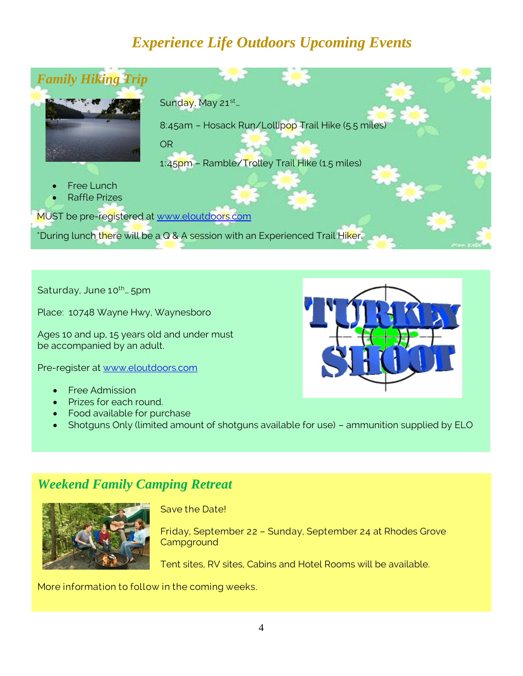## *Experience Life Outdoors Upcoming Events*



Saturday, June 10<sup>th</sup>... 5pm

Place: 10748 Wayne Hwy, Waynesboro

Ages 10 and up, 15 years old and under must be accompanied by an adult.

Pre-register at [www.eloutdoors.com](http://www.eloutdoors.com/)

- Free Admission
- Prizes for each round.
- Food available for purchase
- Shotguns Only (limited amount of shotguns available for use) ammunition supplied by ELO

### *Weekend Family Camping Retreat*



Save the Date!

Friday, September 22 – Sunday, September 24 at Rhodes Grove **Campground** 

Tent sites, RV sites, Cabins and Hotel Rooms will be available.

More information to follow in the coming weeks.

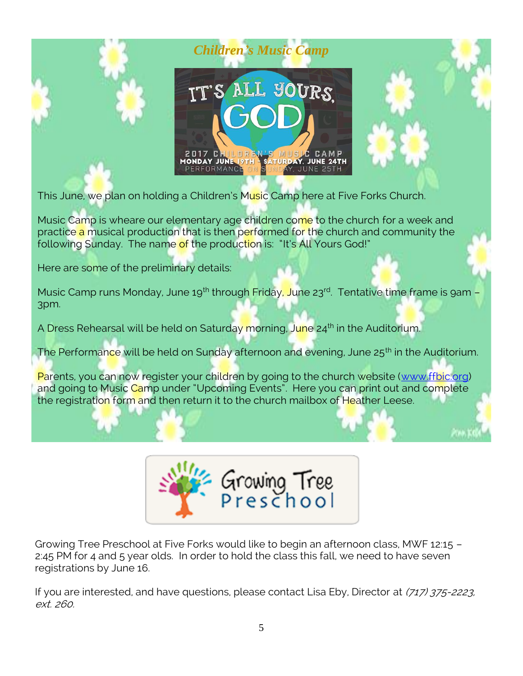

This June, we plan on holding a Children's Music Camp here at Five Forks Church.

Music Camp is wheare our elementary age children come to the church for a week and practice a musical production that is then performed for the church and community the following Sunday. The name of the production is: "It's All Yours God!"

Here are some of the preliminary details:

Music Camp runs Monday, June 19<sup>th</sup> through Friday, June 23<sup>rd</sup>. Tentative time frame is 9am -3pm.

A Dress Rehearsal will be held on Saturday morning, June 24<sup>th</sup> in the Auditorium.

The Performance will be held on Sunday afternoon and evening, June 25<sup>th</sup> in the Auditorium.

Parents, you can now register your children by going to the church website [\(www.ffbic.org\)](http://www.ffbic.org/) and going to Music Camp under "Upcoming Events". Here you can print out and complete the registration form and then return it to the church mailbox of Heather Leese.



Growing Tree Preschool at Five Forks would like to begin an afternoon class, MWF 12:15 – 2:45 PM for 4 and 5 year olds. In order to hold the class this fall, we need to have seven registrations by June 16.

If you are interested, and have questions, please contact Lisa Eby, Director at (717) 375-2223, ext. 260.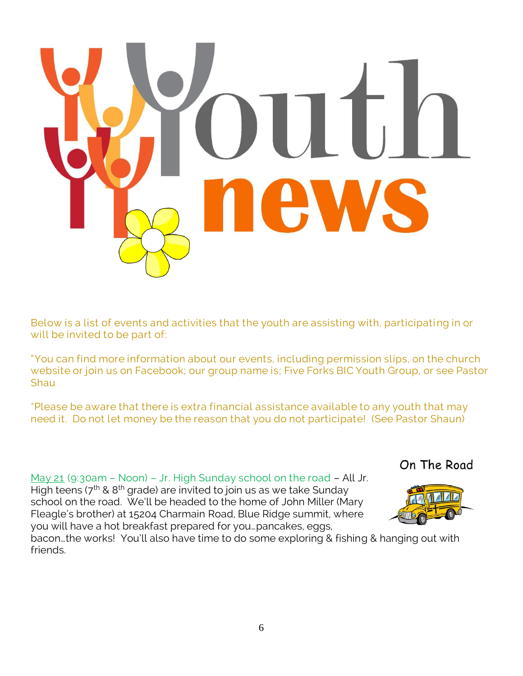

Below is a list of events and activities that the youth are assisting with, participating in or will be invited to be part of:

"You can find more information about our events, including permission slips, on the church website or join us on Facebook; our group name is; Five Forks BIC Youth Group, or see Pastor **Shau** 

\*Please be aware that there is extra financial assistance available to any youth that may need it. Do not let money be the reason that you do not participate! (See Pastor Shaun)

May 21 (9:30am - Noon) - Jr. High Sunday school on the road - All Jr. High teens ( $7<sup>th</sup>$  &  $8<sup>th</sup>$  grade) are invited to join us as we take Sunday

school on the road. We'll be headed to the home of John Miller (Mary Fleagle's brother) at 15204 Charmain Road, Blue Ridge summit, where you will have a hot breakfast prepared for you…pancakes, eggs,





bacon…the works! You'll also have time to do some exploring & fishing & hanging out with friends.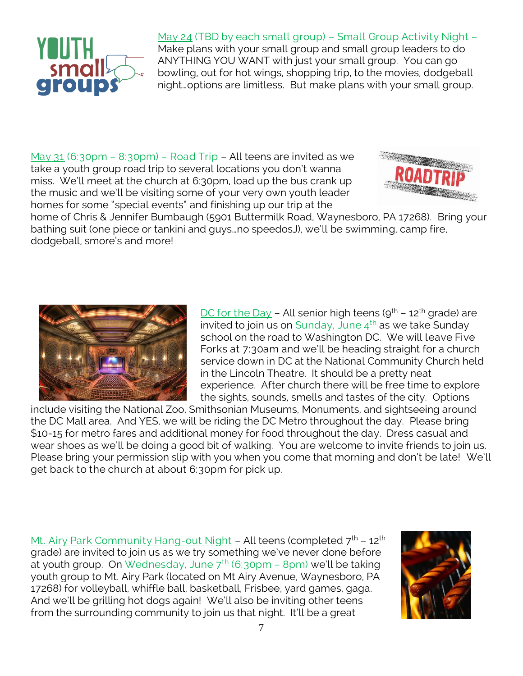

### May 24 (TBD by each small group) – Small Group Activity Night –

Make plans with your small group and small group leaders to do ANYTHING YOU WANT with just your small group. You can go bowling, out for hot wings, shopping trip, to the movies, dodgeball night…options are limitless. But make plans with your small group.

May 31 (6:30pm – 8:30pm) – Road Trip – All teens are invited as we take a youth group road trip to several locations you don't wanna miss. We'll meet at the church at 6:30pm, load up the bus crank up the music and we'll be visiting some of your very own youth leader homes for some "special events" and finishing up our trip at the



home of Chris & Jennifer Bumbaugh (5901 Buttermilk Road, Waynesboro, PA 17268). Bring your bathing suit (one piece or tankini and guys…no speedosJ), we'll be swimming, camp fire, dodgeball, smore's and more!



DC for the Day - All senior high teens ( $9^{th}$  - 12<sup>th</sup> grade) are invited to join us on Sunday, June  $4^{th}$  as we take Sunday school on the road to Washington DC. We will leave Five Forks at 7:30am and we'll be heading straight for a church service down in DC at the National Community Church held in the Lincoln Theatre. It should be a pretty neat experience. After church there will be free time to explore the sights, sounds, smells and tastes of the city. Options

include visiting the National Zoo, Smithsonian Museums, Monuments, and sightseeing around the DC Mall area. And YES, we will be riding the DC Metro throughout the day. Please bring \$10-15 for metro fares and additional money for food throughout the day. Dress casual and wear shoes as we'll be doing a good bit of walking. You are welcome to invite friends to join us. Please bring your permission slip with you when you come that morning and don't be late! We'll get back to the church at about 6:30pm for pick up.

Mt. Airy Park Community Hang-out Night – All teens (completed  $7<sup>th</sup>$  – 12<sup>th</sup> grade) are invited to join us as we try something we've never done before at youth group. On Wednesday, June  $7<sup>th</sup>$  (6:30pm – 8pm) we'll be taking youth group to Mt. Airy Park (located on Mt Airy Avenue, Waynesboro, PA 17268) for volleyball, whiffle ball, basketball, Frisbee, yard games, gaga. And we'll be grilling hot dogs again! We'll also be inviting other teens from the surrounding community to join us that night. It'll be a great

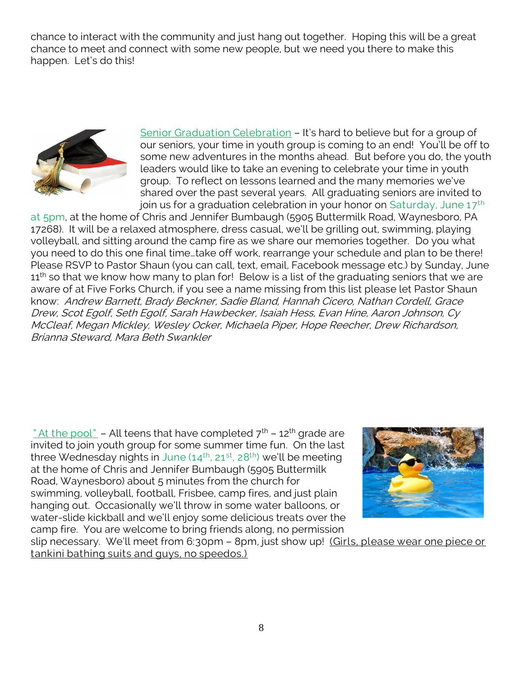chance to interact with the community and just hang out together. Hoping this will be a great chance to meet and connect with some new people, but we need you there to make this happen. Let's do this!



Senior Graduation Celebration – It's hard to believe but for a group of our seniors, your time in youth group is coming to an end! You'll be off to some new adventures in the months ahead. But before you do, the youth leaders would like to take an evening to celebrate your time in youth group. To reflect on lessons learned and the many memories we've shared over the past several years. All graduating seniors are invited to join us for a graduation celebration in your honor on Saturday, June  $17<sup>th</sup>$ 

at 5pm, at the home of Chris and Jennifer Bumbaugh (5905 Buttermilk Road, Waynesboro, PA 17268). It will be a relaxed atmosphere, dress casual, we'll be grilling out, swimming, playing volleyball, and sitting around the camp fire as we share our memories together. Do you what you need to do this one final time…take off work, rearrange your schedule and plan to be there! Please RSVP to Pastor Shaun (you can call, text, email, Facebook message etc.) by Sunday, June  $11<sup>th</sup>$  so that we know how many to plan for! Below is a list of the graduating seniors that we are aware of at Five Forks Church, if you see a name missing from this list please let Pastor Shaun know: Andrew Barnett, Brady Beckner, Sadie Bland, Hannah Cicero, Nathan Cordell, Grace Drew, Scot Egolf, Seth Egolf, Sarah Hawbecker, Isaiah Hess, Evan Hine, Aaron Johnson, Cy McCleaf, Megan Mickley, Wesley Ocker, Michaela Piper, Hope Reecher, Drew Richardson, Brianna Steward, Mara Beth Swankler

" At the pool" – All teens that have completed  $7<sup>th</sup>$  – 12<sup>th</sup> grade are invited to join youth group for some summer time fun. On the last three Wednesday nights in June  $(14<sup>th</sup>, 21<sup>st</sup>, 28<sup>th</sup>)$  we'll be meeting at the home of Chris and Jennifer Bumbaugh (5905 Buttermilk Road, Waynesboro) about 5 minutes from the church for swimming, volleyball, football, Frisbee, camp fires, and just plain hanging out. Occasionally we'll throw in some water balloons, or water-slide kickball and we'll enjoy some delicious treats over the camp fire. You are welcome to bring friends along, no permission



slip necessary. We'll meet from 6:30pm - 8pm, just show up! (Girls, please wear one piece or tankini bathing suits and guys, no speedos.)